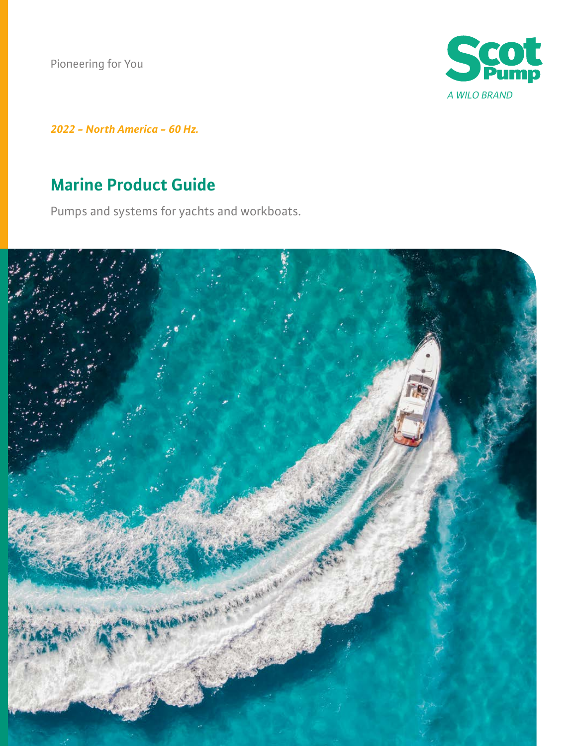Pioneering for You



*2022 - North America - 60 Hz.*

# **Marine Product Guide**

Pumps and systems for yachts and workboats.

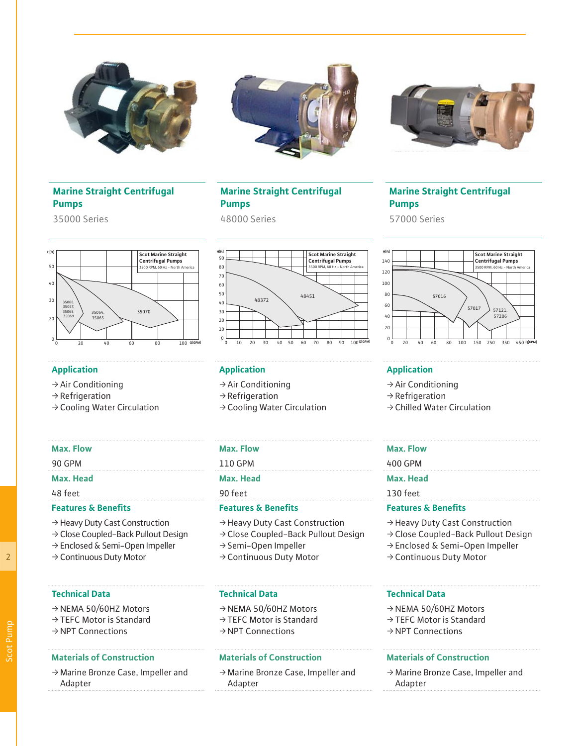





## **Marine Straight Centrifugal Pumps**

35000 Series

# **Marine Straight Centrifugal Pumps**

48000 Series

# **Marine Straight Centrifugal Pumps**

57000 Series



- $\rightarrow$  Air Conditioning
- $\rightarrow$  Refrigeration
- $\rightarrow$  Cooling Water Circulation



# **Application Application Application**

- $\rightarrow$  Air Conditioning
- $\rightarrow$  Refrigeration
- $\rightarrow$  Cooling Water Circulation

## **Max. Flow Max. Flow Max. Flow**

# 48 feet 90 feet 130 feet

### **Features & Benefits Features & Benefits Features & Benefits**

- ƒ Heavy Duty Cast Construction
- ƒ Close Coupled-Back Pullout Design
- $\rightarrow$  Semi-Open Impeller
- $\rightarrow$  Continuous Duty Motor

 $\rightarrow$  Continuous Duty Motor

→ Heavy Duty Cast Construction  $\rightarrow$  Close Coupled-Back Pullout Design ƒ Enclosed & Semi-Open Impeller

- $\rightarrow$  NEMA 50/60HZ Motors
- $\rightarrow$  TFFC Motor is Standard
- $\rightarrow$  NPT Connections

ƒ Marine Bronze Case, Impeller and Adapter

### **Technical Data Technical Data Technical Data**

- $\rightarrow$  NEMA 50/60HZ Motors
- $\rightarrow$  TFFC Motor is Standard
- $\rightarrow$  NPT Connections

### **Materials of Construction Materials of Construction Materials of Construction**

ƒ Marine Bronze Case, Impeller and Adapter



- $\rightarrow$  Air Conditioning
- $\rightarrow$  Refrigeration
- $\rightarrow$  Chilled Water Circulation

- 90 GPM 110 GPM 400 GPM
- **Max. Head Max. Head Max. Head**
	-

- ƒ Heavy Duty Cast Construction
- $\rightarrow$  Close Coupled-Back Pullout Design
- ƒ Enclosed & Semi-Open Impeller
- $\rightarrow$  Continuous Duty Motor

- $\rightarrow$  NEMA 50/60HZ Motors
- $\rightarrow$  TFFC Motor is Standard
- $\rightarrow$  NPT Connections

 $\rightarrow$  Marine Bronze Case, Impeller and Adapter

2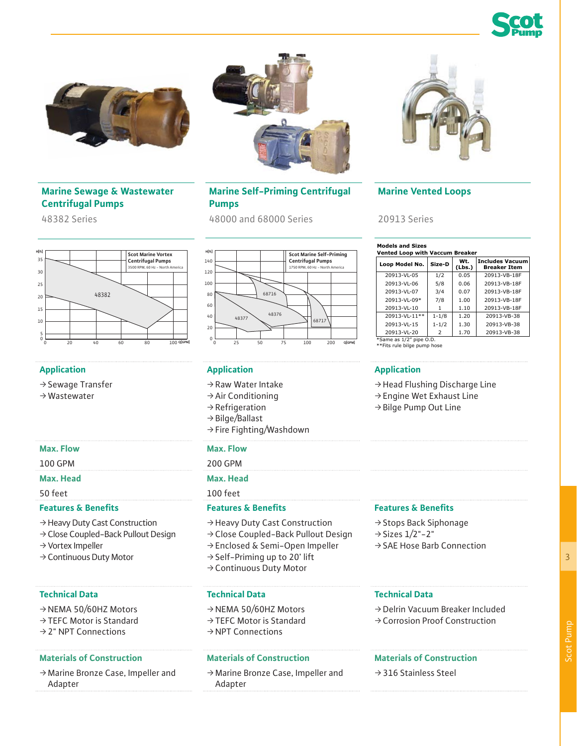





## **Marine Sewage & Wastewater Centrifugal Pumps**

48382 Series



- $\rightarrow$  Sewage Transfer
- $\rightarrow$  Wastewater

- ƒ Heavy Duty Cast Construction
- ƒ Close Coupled-Back Pullout Design
- $\rightarrow$  Vortex Impeller
- $\rightarrow$  Continuous Duty Motor

### **Technical Data Technical Data Technical Data**

- $\rightarrow$  NEMA 50/60HZ Motors
- $\rightarrow$  TEFC Motor is Standard
- $\rightarrow$  2" NPT Connections

ƒ Marine Bronze Case, Impeller and Adapter

## **Marine Self-Priming Centrifugal Pumps**

48000 and 68000 Series



# **Application Application Application**

- $\rightarrow$  Raw Water Intake
- $\rightarrow$  Air Conditioning
- $\rightarrow$  Refrigeration
- $\rightarrow$  Bilge/Ballast
- $\rightarrow$  Fire Fighting/Washdown

### **Max. Flow Max. Flow**

100 GPM 200 GPM

### **Max. Head Max. Head**

50 feet 100 feet

### **Features & Benefits Features & Benefits Features & Benefits**

- ƒ Heavy Duty Cast Construction
- ƒ Close Coupled-Back Pullout Design
- ƒ Enclosed & Semi-Open Impeller
- $\rightarrow$  Self-Priming up to 20' lift
- → Continuous Duty Motor

- $\rightarrow$  NEMA 50/60HZ Motors
- $\rightarrow$  TEFC Motor is Standard
- $\rightarrow$  NPT Connections

## **Materials of Construction Materials of Construction Materials of Construction**

ƒ Marine Bronze Case, Impeller and Adapter



# **Marine Vented Loops**

20913 Series

| <b>Models and Sizes</b><br><b>Vented Loop with Vaccum Breaker</b> |           |               |                                               |
|-------------------------------------------------------------------|-----------|---------------|-----------------------------------------------|
| Loop Model No.                                                    | Size-D    | Wt.<br>(Lbs.) | <b>Includes Vacuum</b><br><b>Breaker Item</b> |
| 20913-VL-05                                                       | 1/2       | 0.05          | 20913-VB-18F                                  |
| 20913-VL-06                                                       | 5/8       | 0.06          | 20913-VB-18F                                  |
| 20913-VL-07                                                       | 3/4       | 0.07          | 20913-VB-18F                                  |
| 20913-VL-09*                                                      | 7/8       | 1.00          | 20913-VB-18F                                  |
| 20913-VL-10                                                       | 1         | 1.10          | 20913-VB-18F                                  |
| 20913-VL-11**                                                     | $1 - 1/8$ | 1.20          | 20913-VB-38                                   |
| 20913-VL-15                                                       | $1 - 1/2$ | 1.30          | 20913-VB-38                                   |
| 20913-VL-20                                                       | 2         | 1.70          | 20913-VB-38                                   |

\*Same as 1/2" pipe O.D. \*\*Fits rule bilge pump hose

- $\rightarrow$  Head Flushing Discharge Line
- $\rightarrow$  Engine Wet Exhaust Line
- $\rightarrow$  Bilge Pump Out Line

- → Stops Back Siphonage
- $\rightarrow$  Sizes  $1/2$ "-2"
- $\rightarrow$  SAE Hose Barb Connection

ƒ Delrin Vacuum Breaker Included  $\rightarrow$  Corrosion Proof Construction

 $\rightarrow$  316 Stainless Steel

3